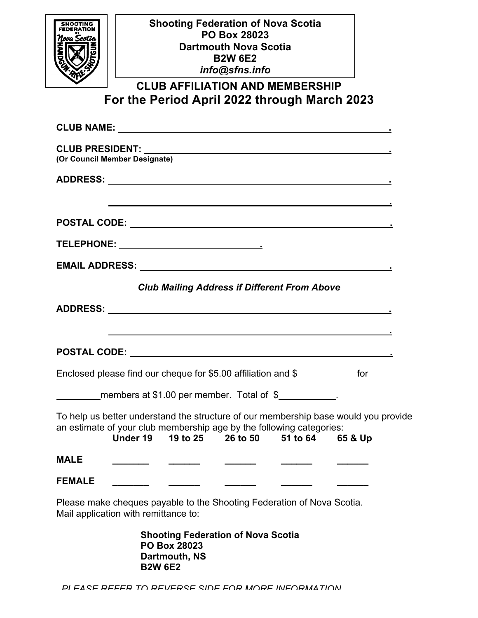| nua Scotta    | <b>Shooting Federation of Nova Scotia</b><br><b>PO Box 28023</b><br><b>Dartmouth Nova Scotia</b><br><b>B2W 6E2</b>                                                                                                      |  |
|---------------|-------------------------------------------------------------------------------------------------------------------------------------------------------------------------------------------------------------------------|--|
|               | info@sfns.info                                                                                                                                                                                                          |  |
|               | <b>CLUB AFFILIATION AND MEMBERSHIP</b>                                                                                                                                                                                  |  |
|               | For the Period April 2022 through March 2023                                                                                                                                                                            |  |
|               |                                                                                                                                                                                                                         |  |
|               | (Or Council Member Designate)                                                                                                                                                                                           |  |
|               |                                                                                                                                                                                                                         |  |
|               | ,我们也不会有什么。""我们的人,我们也不会有什么?""我们的人,我们也不会有什么?""我们的人,我们的人,我们也不会有什么?""我们的人,我们的人,我们的人,                                                                                                                                        |  |
|               |                                                                                                                                                                                                                         |  |
|               |                                                                                                                                                                                                                         |  |
|               |                                                                                                                                                                                                                         |  |
|               | <b>Club Mailing Address if Different From Above</b>                                                                                                                                                                     |  |
|               |                                                                                                                                                                                                                         |  |
|               | <u> 1989 - Jan Salaman Salaman (j. 1989)</u>                                                                                                                                                                            |  |
|               |                                                                                                                                                                                                                         |  |
|               | Enclosed please find our cheque for \$5.00 affiliation and \$                                                                                                                                                           |  |
|               | members at \$1.00 per member. Total of \$                                                                                                                                                                               |  |
|               | To help us better understand the structure of our membership base would you provide<br>an estimate of your club membership age by the following categories:<br><b>Under 19</b><br>19 to 25 26 to 50 51 to 64<br>65 & Up |  |
| <b>MALE</b>   | $\frac{1}{2}$                                                                                                                                                                                                           |  |
| <b>FEMALE</b> |                                                                                                                                                                                                                         |  |
|               | Please make cheques payable to the Shooting Federation of Nova Scotia.<br>Mail application with remittance to:                                                                                                          |  |
|               | <b>Shooting Federation of Nova Scotia</b><br><b>PO Box 28023</b><br>Dartmouth, NS<br><b>B2W 6E2</b>                                                                                                                     |  |